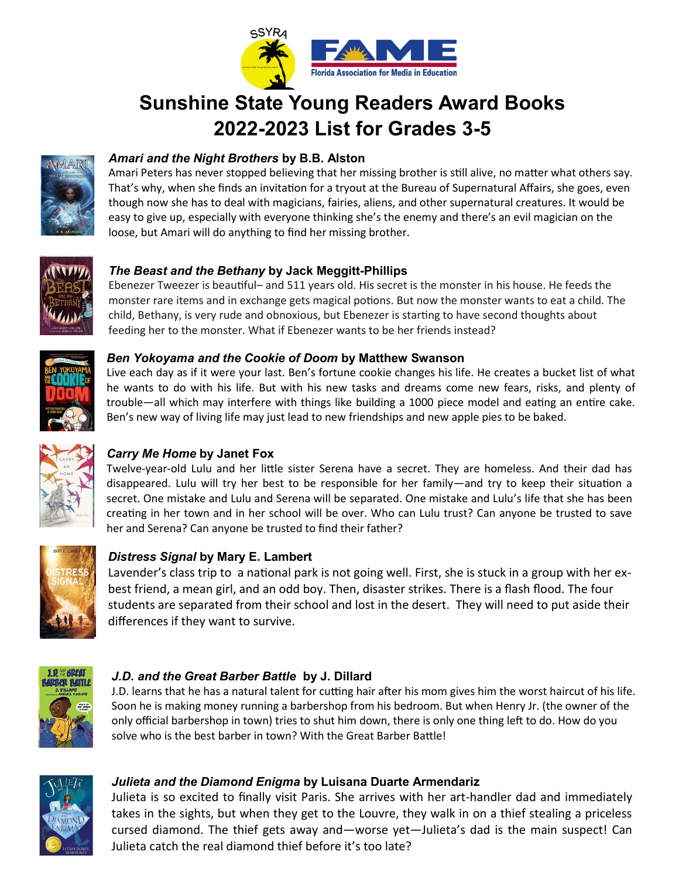

# **Sunshine State Young Readers Award Books 2022-2023 List for Grades 3-5**



# *Amari and the Night Brothers* **by B.B. Alston**

Amari Peters has never stopped believing that her missing brother is still alive, no matter what others say. That's why, when she finds an invitation for a tryout at the Bureau of Supernatural Affairs, she goes, even though now she has to deal with magicians, fairies, aliens, and other supernatural creatures. It would be easy to give up, especially with everyone thinking she's the enemy and there's an evil magician on the loose, but Amari will do anything to find her missing brother.



## *The Beast and the Bethany* **by Jack Meggitt-Phillips**

Ebenezer Tweezer is beautiful– and 511 years old. His secret is the monster in his house. He feeds the monster rare items and in exchange gets magical potions. But now the monster wants to eat a child. The child, Bethany, is very rude and obnoxious, but Ebenezer is starting to have second thoughts about feeding her to the monster. What if Ebenezer wants to be her friends instead?



#### *Ben Yokoyama and the Cookie of Doom* **by Matthew Swanson**

Live each day as if it were your last. Ben's fortune cookie changes his life. He creates a bucket list of what he wants to do with his life. But with his new tasks and dreams come new fears, risks, and plenty of trouble—all which may interfere with things like building a 1000 piece model and eating an entire cake. Ben's new way of living life may just lead to new friendships and new apple pies to be baked.



# *Carry Me Home* **by Janet Fox**

Twelve-year-old Lulu and her little sister Serena have a secret. They are homeless. And their dad has disappeared. Lulu will try her best to be responsible for her family—and try to keep their situation a secret. One mistake and Lulu and Serena will be separated. One mistake and Lulu's life that she has been creating in her town and in her school will be over. Who can Lulu trust? Can anyone be trusted to save her and Serena? Can anyone be trusted to find their father?



## *Distress Signal* **by Mary E. Lambert**

Lavender's class trip to a national park is not going well. First, she is stuck in a group with her exbest friend, a mean girl, and an odd boy. Then, disaster strikes. There is a flash flood. The four students are separated from their school and lost in the desert. They will need to put aside their differences if they want to survive.



## *J.D. and the Great Barber Battle* **by J. Dillard**

J.D. learns that he has a natural talent for cutting hair after his mom gives him the worst haircut of his life. Soon he is making money running a barbershop from his bedroom. But when Henry Jr. (the owner of the only official barbershop in town) tries to shut him down, there is only one thing left to do. How do you solve who is the best barber in town? With the Great Barber Battle!



## *Julieta and the Diamond Enigma* **by Luisana Duarte Armendariz**

Julieta is so excited to finally visit Paris. She arrives with her art-handler dad and immediately takes in the sights, but when they get to the Louvre, they walk in on a thief stealing a priceless cursed diamond. The thief gets away and—worse yet—Julieta's dad is the main suspect! Can Julieta catch the real diamond thief before it's too late?